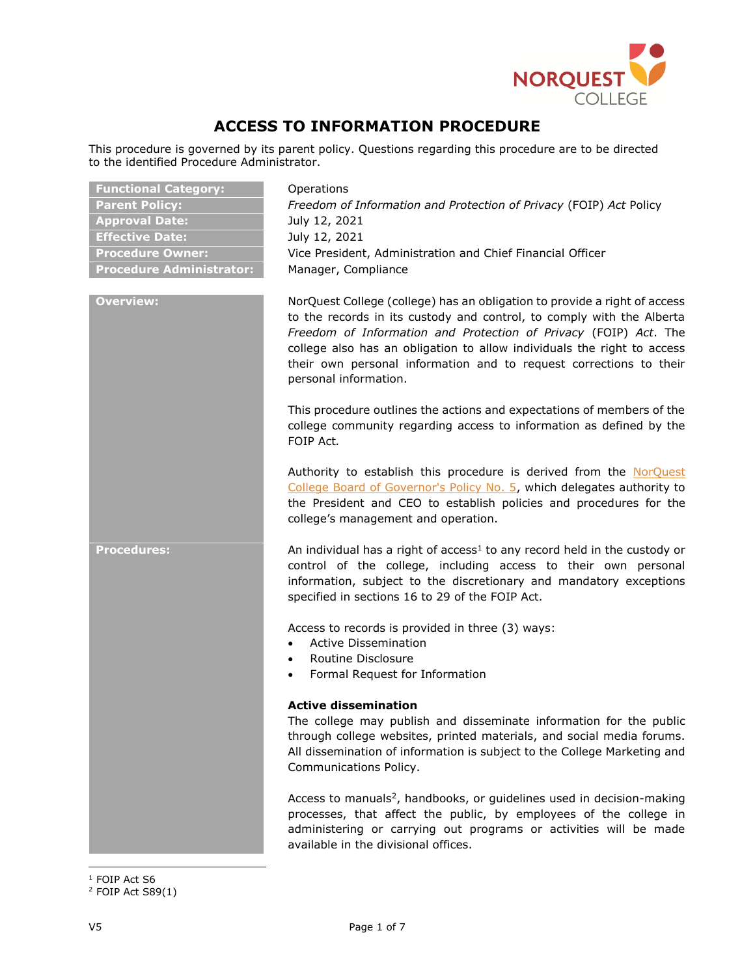

# **ACCESS TO INFORMATION PROCEDURE**

This procedure is governed by its parent policy. Questions regarding this procedure are to be directed to the identified Procedure Administrator.

| <b>Functional Category:</b>     | Operations                                                                                                                                                                                                                                                                                                                                                                                       |
|---------------------------------|--------------------------------------------------------------------------------------------------------------------------------------------------------------------------------------------------------------------------------------------------------------------------------------------------------------------------------------------------------------------------------------------------|
| <b>Parent Policy:</b>           | Freedom of Information and Protection of Privacy (FOIP) Act Policy                                                                                                                                                                                                                                                                                                                               |
| <b>Approval Date:</b>           | July 12, 2021                                                                                                                                                                                                                                                                                                                                                                                    |
| <b>Effective Date:</b>          | July 12, 2021                                                                                                                                                                                                                                                                                                                                                                                    |
| <b>Procedure Owner:</b>         | Vice President, Administration and Chief Financial Officer                                                                                                                                                                                                                                                                                                                                       |
| <b>Procedure Administrator:</b> | Manager, Compliance                                                                                                                                                                                                                                                                                                                                                                              |
|                                 |                                                                                                                                                                                                                                                                                                                                                                                                  |
| <b>Overview:</b>                | NorQuest College (college) has an obligation to provide a right of access<br>to the records in its custody and control, to comply with the Alberta<br>Freedom of Information and Protection of Privacy (FOIP) Act. The<br>college also has an obligation to allow individuals the right to access<br>their own personal information and to request corrections to their<br>personal information. |
|                                 | This procedure outlines the actions and expectations of members of the<br>college community regarding access to information as defined by the<br>FOIP Act.                                                                                                                                                                                                                                       |
|                                 | Authority to establish this procedure is derived from the NorQuest<br>College Board of Governor's Policy No. 5, which delegates authority to<br>the President and CEO to establish policies and procedures for the<br>college's management and operation.                                                                                                                                        |
| <b>Procedures:</b>              | An individual has a right of access <sup>1</sup> to any record held in the custody or<br>control of the college, including access to their own personal<br>information, subject to the discretionary and mandatory exceptions<br>specified in sections 16 to 29 of the FOIP Act.                                                                                                                 |
|                                 | Access to records is provided in three (3) ways:<br><b>Active Dissemination</b>                                                                                                                                                                                                                                                                                                                  |
|                                 | Routine Disclosure<br>$\bullet$                                                                                                                                                                                                                                                                                                                                                                  |
|                                 | Formal Request for Information<br>$\bullet$                                                                                                                                                                                                                                                                                                                                                      |
|                                 |                                                                                                                                                                                                                                                                                                                                                                                                  |
|                                 | <b>Active dissemination</b><br>The college may publish and disseminate information for the public<br>through college websites, printed materials, and social media forums.<br>All dissemination of information is subject to the College Marketing and<br>Communications Policy.                                                                                                                 |
|                                 | Access to manuals <sup>2</sup> , handbooks, or guidelines used in decision-making<br>processes, that affect the public, by employees of the college in<br>administering or carrying out programs or activities will be made                                                                                                                                                                      |

 $\overline{\phantom{a}}$  $^{\rm 1}$  FOIP Act S6

available in the divisional offices.

 $2$  FOIP Act S89(1)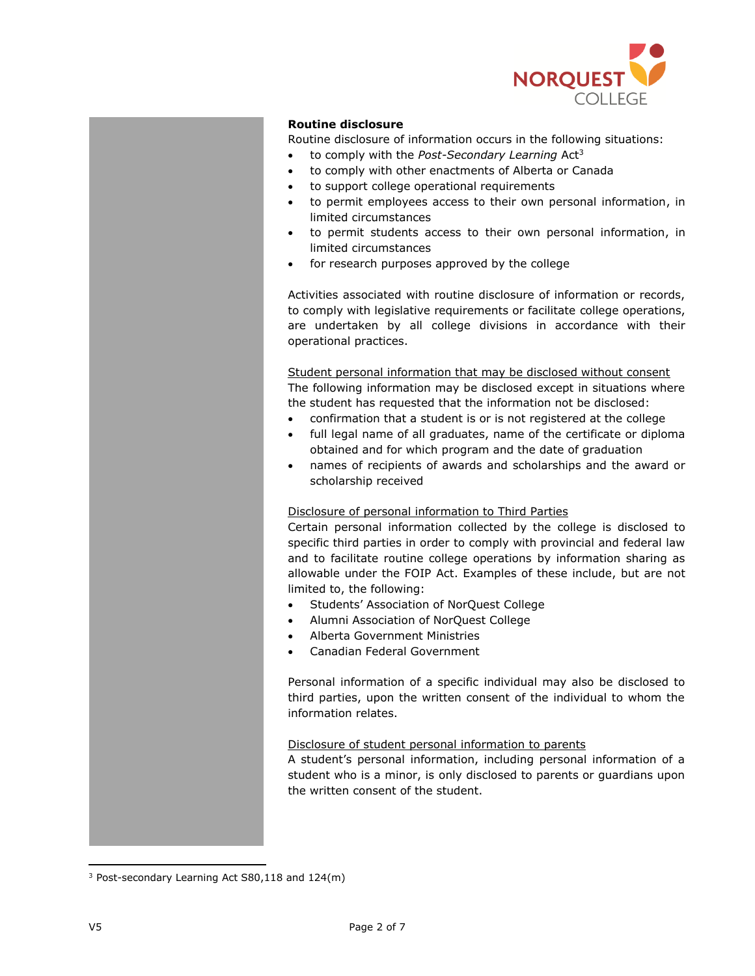

# **Routine disclosure**

Routine disclosure of information occurs in the following situations:

- to comply with the *Post-Secondary Learning* Act<sup>3</sup>
- to comply with other enactments of Alberta or Canada
- to support college operational requirements
- to permit employees access to their own personal information, in limited circumstances
- to permit students access to their own personal information, in limited circumstances
- for research purposes approved by the college

Activities associated with routine disclosure of information or records, to comply with legislative requirements or facilitate college operations, are undertaken by all college divisions in accordance with their operational practices.

Student personal information that may be disclosed without consent The following information may be disclosed except in situations where the student has requested that the information not be disclosed:

- confirmation that a student is or is not registered at the college
- full legal name of all graduates, name of the certificate or diploma obtained and for which program and the date of graduation
- names of recipients of awards and scholarships and the award or scholarship received

# Disclosure of personal information to Third Parties

Certain personal information collected by the college is disclosed to specific third parties in order to comply with provincial and federal law and to facilitate routine college operations by information sharing as allowable under the FOIP Act. Examples of these include, but are not limited to, the following:

- Students' Association of NorQuest College
- Alumni Association of NorQuest College
- Alberta Government Ministries
- Canadian Federal Government

Personal information of a specific individual may also be disclosed to third parties, upon the written consent of the individual to whom the information relates.

### Disclosure of student personal information to parents

A student's personal information, including personal information of a student who is a minor, is only disclosed to parents or guardians upon the written consent of the student.

 $\overline{a}$ 

 $3$  Post-secondary Learning Act S80,118 and 124(m)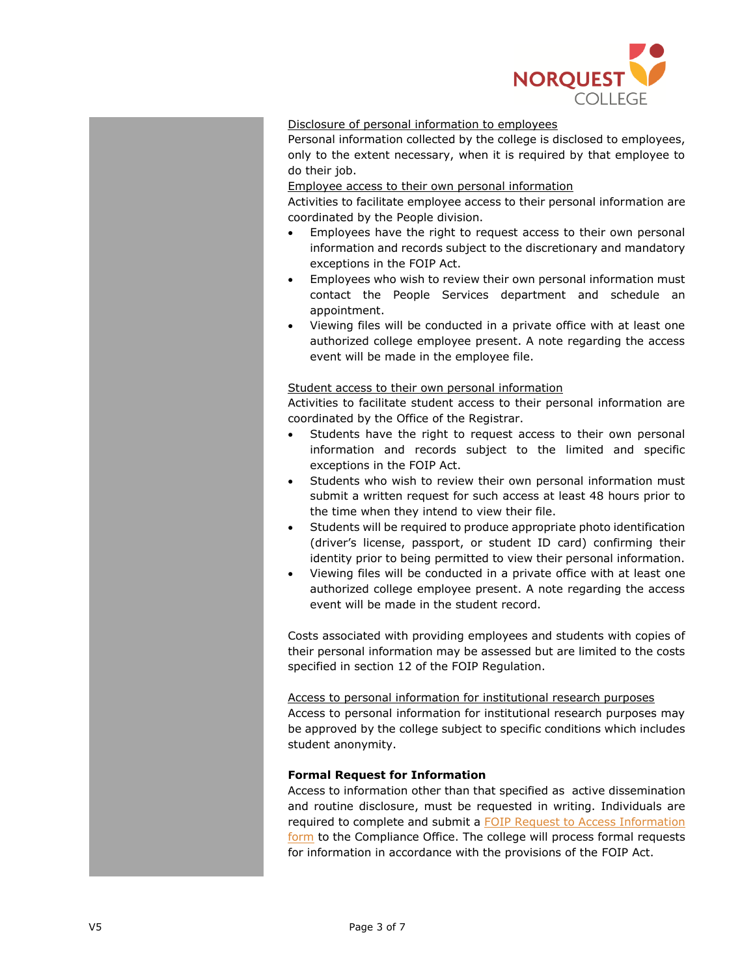

# Disclosure of personal information to employees

Personal information collected by the college is disclosed to employees, only to the extent necessary, when it is required by that employee to do their job.

### Employee access to their own personal information

Activities to facilitate employee access to their personal information are coordinated by the People division.

- Employees have the right to request access to their own personal information and records subject to the discretionary and mandatory exceptions in the FOIP Act.
- Employees who wish to review their own personal information must contact the People Services department and schedule an appointment.
- Viewing files will be conducted in a private office with at least one authorized college employee present. A note regarding the access event will be made in the employee file.

#### Student access to their own personal information

Activities to facilitate student access to their personal information are coordinated by the Office of the Registrar.

- Students have the right to request access to their own personal information and records subject to the limited and specific exceptions in the FOIP Act.
- Students who wish to review their own personal information must submit a written request for such access at least 48 hours prior to the time when they intend to view their file.
- Students will be required to produce appropriate photo identification (driver's license, passport, or student ID card) confirming their identity prior to being permitted to view their personal information.
- Viewing files will be conducted in a private office with at least one authorized college employee present. A note regarding the access event will be made in the student record.

Costs associated with providing employees and students with copies of their personal information may be assessed but are limited to the costs specified in section 12 of the FOIP Regulation.

#### Access to personal information for institutional research purposes

Access to personal information for institutional research purposes may be approved by the college subject to specific conditions which includes student anonymity.

## **Formal Request for Information**

Access to information other than that specified as active dissemination and routine disclosure, must be requested in writing. Individuals are required to complete and submit a [FOIP Request to Access Information](https://www.norquest.ca/NorquestCollege/media/pdf/resources/freedom-of-information-act/Request-to-Access-Information-Form.pdf)  [form](https://www.norquest.ca/NorquestCollege/media/pdf/resources/freedom-of-information-act/Request-to-Access-Information-Form.pdf) to the Compliance Office. The college will process formal requests for information in accordance with the provisions of the FOIP Act.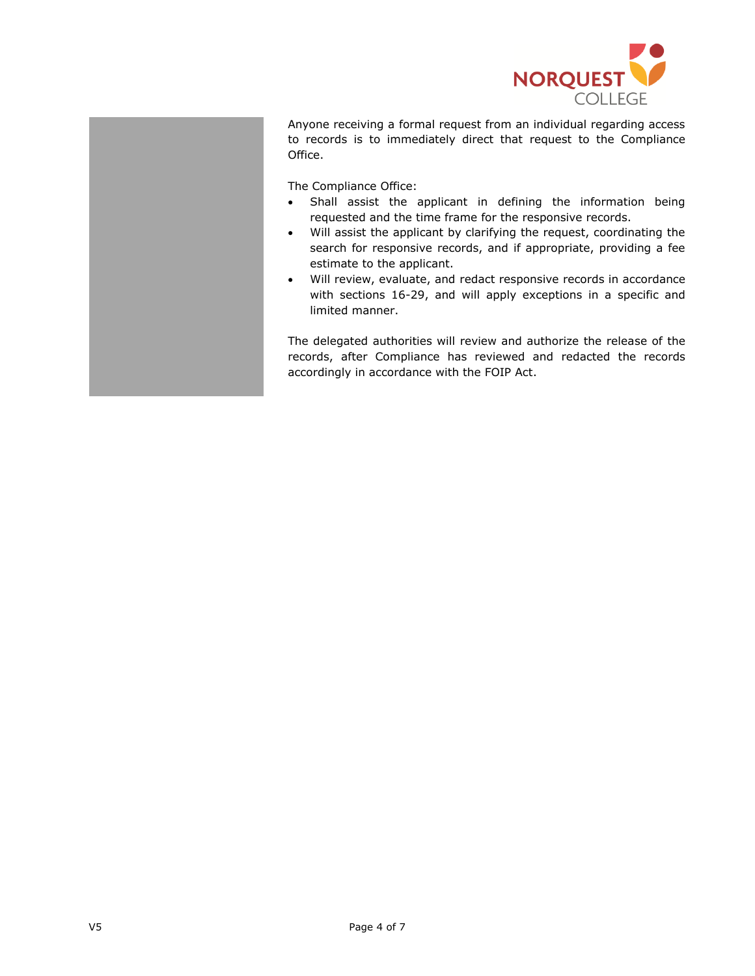

Anyone receiving a formal request from an individual regarding access to records is to immediately direct that request to the Compliance Office.

The Compliance Office:

- Shall assist the applicant in defining the information being requested and the time frame for the responsive records.
- Will assist the applicant by clarifying the request, coordinating the search for responsive records, and if appropriate, providing a fee estimate to the applicant.
- Will review, evaluate, and redact responsive records in accordance with sections 16-29, and will apply exceptions in a specific and limited manner.

The delegated authorities will review and authorize the release of the records, after Compliance has reviewed and redacted the records accordingly in accordance with the FOIP Act.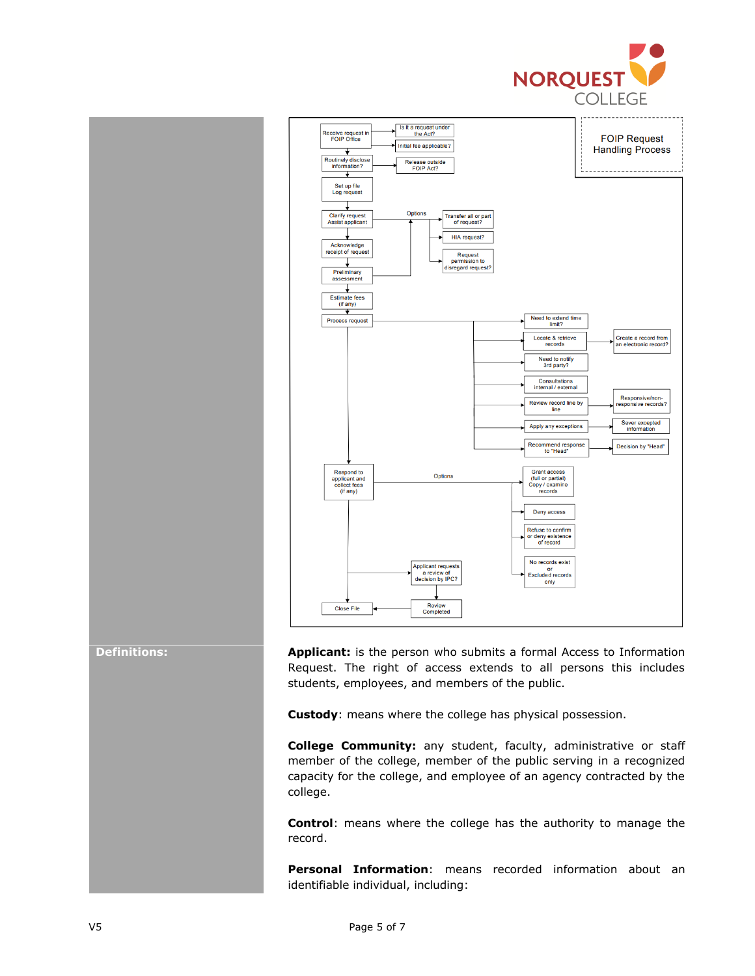



**Definitions: Applicant:** is the person who submits a formal Access to Information Request. The right of access extends to all persons this includes students, employees, and members of the public.

**Custody**: means where the college has physical possession.

**College Community:** any student, faculty, administrative or staff member of the college, member of the public serving in a recognized capacity for the college, and employee of an agency contracted by the college.

**Control**: means where the college has the authority to manage the record.

**Personal Information**: means recorded information about an identifiable individual, including: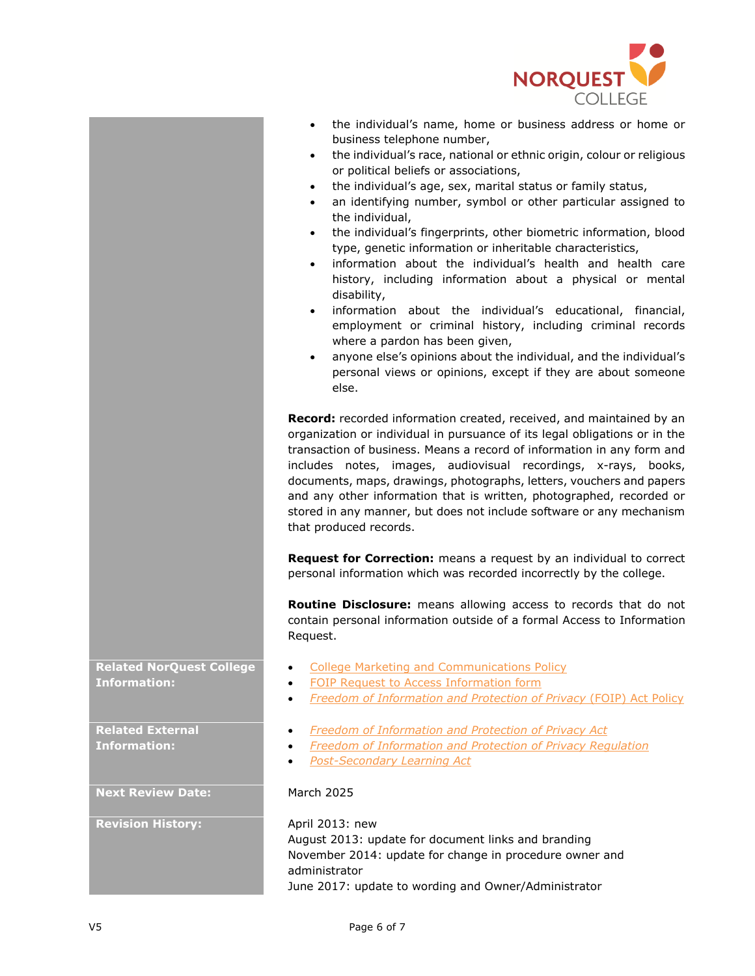

- the individual's name, home or business address or home or business telephone number,
- the individual's race, national or ethnic origin, colour or religious or political beliefs or associations,
- the individual's age, sex, marital status or family status,
- an identifying number, symbol or other particular assigned to the individual,
- the individual's fingerprints, other biometric information, blood type, genetic information or inheritable characteristics,
- information about the individual's health and health care history, including information about a physical or mental disability,
- information about the individual's educational, financial, employment or criminal history, including criminal records where a pardon has been given,
- anyone else's opinions about the individual, and the individual's personal views or opinions, except if they are about someone else.

**Record:** recorded information created, received, and maintained by an organization or individual in pursuance of its legal obligations or in the transaction of business. Means a record of information in any form and includes notes, images, audiovisual recordings, x-rays, books, documents, maps, drawings, photographs, letters, vouchers and papers and any other information that is written, photographed, recorded or stored in any manner, but does not include software or any mechanism that produced records.

**Request for Correction:** means a request by an individual to correct personal information which was recorded incorrectly by the college.

**Routine Disclosure:** means allowing access to records that do not contain personal information outside of a formal Access to Information Request.

- [College Marketing and Communications Policy](https://www.norquest.ca/about-us/policies-procedures/operations/college-marketing-and-communications-policy.aspx)
- [FOIP Request to Access Information form](https://www.norquest.ca/NorquestCollege/media/pdf/resources/freedom-of-information-act/Request-to-Access-Information-Form.pdf)
- *Freedom of Information [and Protection of Privacy](https://www.norquest.ca/about-us/policies-procedures/operations/freedom-of-information-and-protection-of-privacy-(foip)-act-policy.aspx)* (FOIP) Act Policy
- *[Freedom of Information and Protection of Privacy Act](http://www.qp.alberta.ca/1266.cfm?page=F25.cfm&leg_type=Acts&isbncln=9780779762071)*
- *Freedom of Information and Protection of Privacy Regulation*
- *[Post-Secondary Learning Act](http://www.qp.alberta.ca/574.cfm?page=p19p5.cfm&leg_type=Acts&isbncln=9780779737932)*

August 2013: update for document links and branding November 2014: update for change in procedure owner and administrator June 2017: update to wording and Owner/Administrator

**Related NorQuest College Information:**

**Related External Information:**

**Next Review Date:** March 2025

**Revision History:** April 2013: new